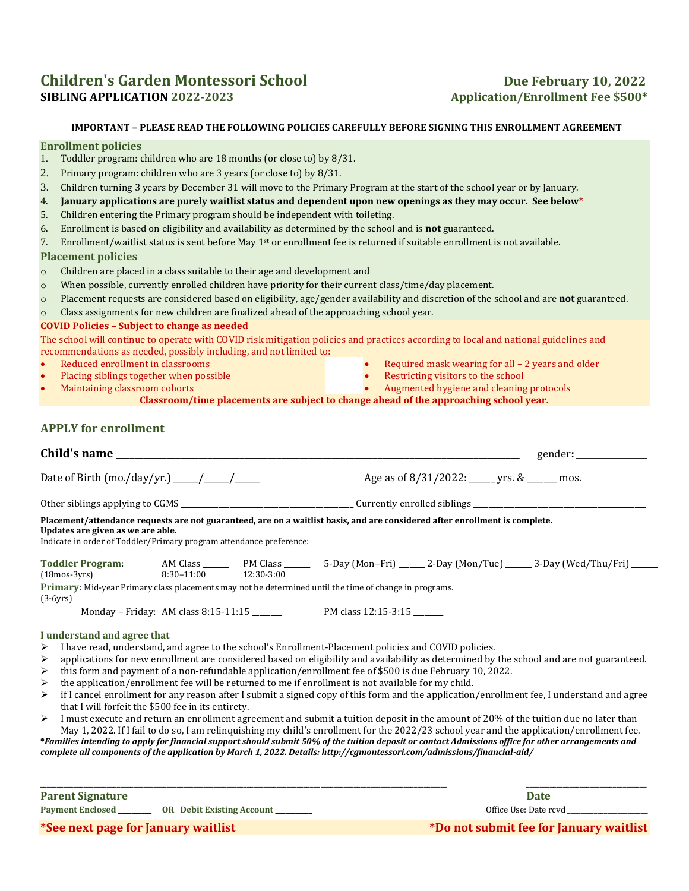# **Children's Garden Montessori School Due February 10, 2022 SIBLING APPLICATION 2022-2023 Application/Enrollment Fee \$500\***

## **IMPORTANT – PLEASE READ THE FOLLOWING POLICIES CAREFULLY BEFORE SIGNING THIS ENROLLMENT AGREEMENT**

#### **Enrollment policies**

- 1. Toddler program: children who are 18 months (or close to) by 8/31.
- 2. Primary program: children who are 3 years (or close to) by 8/31.
- 3. Children turning 3 years by December 31 will move to the Primary Program at the start of the school year or by January.
- 4. **January applications are purely waitlist status and dependent upon new openings as they may occur. See below\***
- 5. Children entering the Primary program should be independent with toileting.
- 6. Enrollment is based on eligibility and availability as determined by the school and is **not** guaranteed.
- 7. Enrollment/waitlist status is sent before May 1st or enrollment fee is returned if suitable enrollment is not available.

### **Placement policies**

- o Children are placed in a class suitable to their age and development and
- o When possible, currently enrolled children have priority for their current class/time/day placement.
- o Placement requests are considered based on eligibility, age/gender availability and discretion of the school and are **not** guaranteed.
- o Class assignments for new children are finalized ahead of the approaching school year.

### **COVID Policies – Subject to change as needed**

The school will continue to operate with COVID risk mitigation policies and practices according to local and national guidelines and recommendations as needed, possibly including, and not limited to:

- Reduced enrollment in classrooms
- Placing siblings together when possible • Maintaining classroom cohorts
- Required mask wearing for all 2 years and older
- Restricting visitors to the school
- Augmented hygiene and cleaning protocols

**Classroom/time placements are subject to change ahead of the approaching school year.**

## **APPLY for enrollment**

| Child's name                                                                                                                                                                                                                            |  |  |                                                  |  |                                                                                                                        |  |  |  |  |
|-----------------------------------------------------------------------------------------------------------------------------------------------------------------------------------------------------------------------------------------|--|--|--------------------------------------------------|--|------------------------------------------------------------------------------------------------------------------------|--|--|--|--|
|                                                                                                                                                                                                                                         |  |  | Age as of $8/31/2022$ : _____ yrs. & ______ mos. |  |                                                                                                                        |  |  |  |  |
|                                                                                                                                                                                                                                         |  |  |                                                  |  |                                                                                                                        |  |  |  |  |
| Placement/attendance requests are not guaranteed, are on a waitlist basis, and are considered after enrollment is complete.<br>Updates are given as we are able.<br>Indicate in order of Toddler/Primary program attendance preference: |  |  |                                                  |  |                                                                                                                        |  |  |  |  |
|                                                                                                                                                                                                                                         |  |  |                                                  |  | Toddler Program: AM Class ______ PM Class ______ 5-Day (Mon-Fri) _____ 2-Day (Mon/Tue) _____ 3-Day (Wed/Thu/Fri) _____ |  |  |  |  |
| 8:30-11:00 12:30-3:00<br>$(18mos-3yrs)$<br><b>Primary:</b> Mid-year Primary class placements may not be determined until the time of change in programs.<br>$(3-6yrs)$                                                                  |  |  |                                                  |  |                                                                                                                        |  |  |  |  |
| I understand and agree that                                                                                                                                                                                                             |  |  |                                                  |  |                                                                                                                        |  |  |  |  |
| I have read, understand, and agree to the school's Enrollment-Placement policies and COVID policies.<br>➤                                                                                                                               |  |  |                                                  |  |                                                                                                                        |  |  |  |  |
| applications for new enrollment are considered based on eligibility and availability as determined by the school and are not guaranteed.<br>$\blacktriangleright$                                                                       |  |  |                                                  |  |                                                                                                                        |  |  |  |  |
| this form and payment of a non-refundable application/enrollment fee of \$500 is due February 10, 2022.<br>➤                                                                                                                            |  |  |                                                  |  |                                                                                                                        |  |  |  |  |
| the application/enrollment fee will be returned to me if enrollment is not available for my child.<br>➤                                                                                                                                 |  |  |                                                  |  |                                                                                                                        |  |  |  |  |
| if I cancel enrollment for any reason after I submit a signed copy of this form and the application/enrollment fee, I understand and agree<br>➤                                                                                         |  |  |                                                  |  |                                                                                                                        |  |  |  |  |
| that I will forfeit the \$500 fee in its entirety.                                                                                                                                                                                      |  |  |                                                  |  |                                                                                                                        |  |  |  |  |
| I must execute and return an enrollment agreement and submit a tuition deposit in the amount of 20% of the tuition due no later than<br>$\blacktriangleright$                                                                           |  |  |                                                  |  |                                                                                                                        |  |  |  |  |
| May 1, 2022. If I fail to do so, I am relinguishing my child's enrollment for the 2022/23 school year and the application/enrollment fee.                                                                                               |  |  |                                                  |  |                                                                                                                        |  |  |  |  |
| *Families intending to apply for financial support should submit 50% of the tuition deposit or contact Admissions office for other arrangements and                                                                                     |  |  |                                                  |  |                                                                                                                        |  |  |  |  |
| complete all components of the application by March 1, 2022. Details: http://cgmontessori.com/admissions/financial-aid/                                                                                                                 |  |  |                                                  |  |                                                                                                                        |  |  |  |  |

\_\_\_\_\_\_\_\_\_\_\_\_\_\_\_\_\_\_\_\_\_\_\_\_\_\_\_\_\_\_\_\_\_\_\_\_\_\_\_\_\_\_\_\_\_\_\_\_\_\_\_\_\_\_\_\_\_\_\_\_\_\_\_\_\_\_\_\_\_\_\_\_\_\_\_\_\_\_\_\_\_\_\_\_\_\_\_\_\_\_\_\_\_\_\_\_\_\_\_\_\_\_\_\_\_\_\_\_\_\_\_\_\_\_\_\_\_\_\_\_\_\_ \_\_\_\_\_\_\_\_\_\_\_\_\_\_\_\_\_\_\_\_\_\_\_\_\_\_\_\_\_\_\_\_\_\_\_\_

**Parent Signature Date** 

**Payment Enclosed \_\_\_\_\_\_\_\_\_\_ OR Debit Existing Account \_\_\_\_\_\_\_\_\_\_\_** Office Use: Date rcvd \_\_\_\_\_\_\_\_\_\_\_\_\_\_\_\_\_\_\_\_\_\_\_\_

**\*See next page for January waitlist \*Do not submit fee for January waitlist**